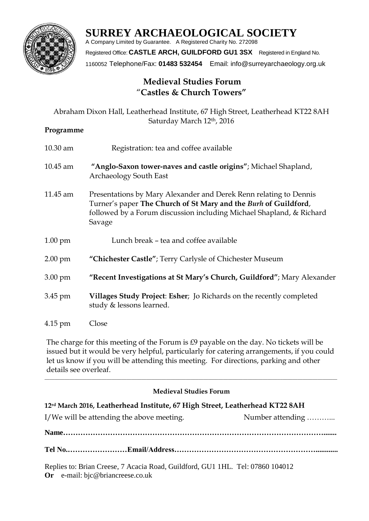

# **SURREY ARCHAEOLOGICAL SOCIETY**

A Company Limited by Guarantee. A Registered Charity No. 272098 Registered Office: **CASTLE ARCH, GUILDFORD GU1 3SX** Registered in England No. 1160052 Telephone/Fax: **01483 532454** Email: info@surreyarchaeology.org.uk

## **Medieval Studies Forum**  "**Castles & Church Towers"**

|                   | Abraham Dixon Hall, Leatherhead Institute, 67 High Street, Leatherhead KT22 8AH<br>Saturday March 12th, 2016                                                                                                           |
|-------------------|------------------------------------------------------------------------------------------------------------------------------------------------------------------------------------------------------------------------|
| Programme         |                                                                                                                                                                                                                        |
| $10.30$ am        | Registration: tea and coffee available                                                                                                                                                                                 |
| 10.45 am          | "Anglo-Saxon tower-naves and castle origins"; Michael Shapland,<br><b>Archaeology South East</b>                                                                                                                       |
| 11.45 am          | Presentations by Mary Alexander and Derek Renn relating to Dennis<br>Turner's paper The Church of St Mary and the Burh of Guildford,<br>followed by a Forum discussion including Michael Shapland, & Richard<br>Savage |
| $1.00 \text{ pm}$ | Lunch break - tea and coffee available                                                                                                                                                                                 |
| $2.00$ pm         | "Chichester Castle"; Terry Carlysle of Chichester Museum                                                                                                                                                               |
| 3.00 pm           | "Recent Investigations at St Mary's Church, Guildford"; Mary Alexander                                                                                                                                                 |
| 3.45 pm           | Villages Study Project: Esher; Jo Richards on the recently completed<br>study & lessons learned.                                                                                                                       |
| 4.15 pm           | Close                                                                                                                                                                                                                  |

The charge for this meeting of the Forum is £9 payable on the day. No tickets will be issued but it would be very helpful, particularly for catering arrangements, if you could let us know if you will be attending this meeting. For directions, parking and other details see overleaf.

## **Medieval Studies Forum**

 $\_$  , and the set of the set of the set of the set of the set of the set of the set of the set of the set of the set of the set of the set of the set of the set of the set of the set of the set of the set of the set of th

| 12rd March 2016, Leatherhead Institute, 67 High Street, Leatherhead KT22 8AH |                  |
|------------------------------------------------------------------------------|------------------|
| I/We will be attending the above meeting.                                    | Number attending |
|                                                                              |                  |
|                                                                              |                  |
|                                                                              |                  |

Replies to: Brian Creese, 7 Acacia Road, Guildford, GU1 1HL. Tel: 07860 104012 **Or** e-mail: bjc@briancreese.co.uk